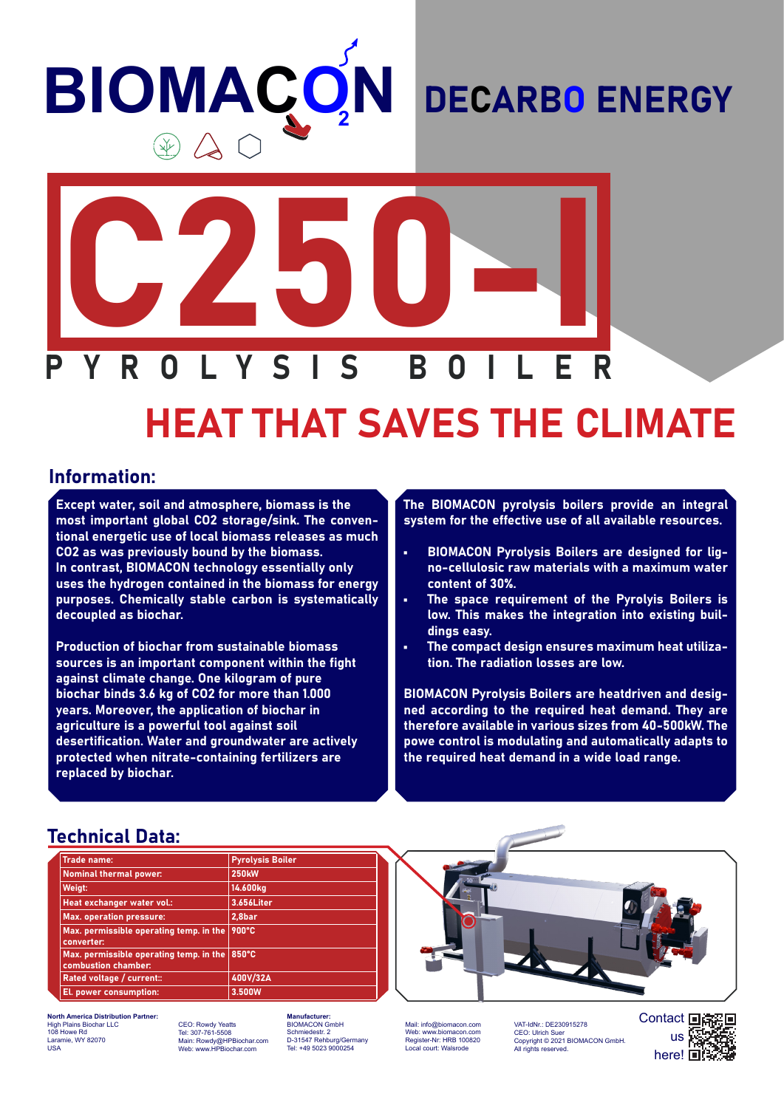# **BIOMAÇO N**

### DECARBO ENERGY



# HEAT THAT SAVES THE CLIMATE

#### Information:

Except water, soil and atmosphere, biomass is the most important global CO2 storage/sink. The conventional energetic use of local biomass releases as much CO2 as was previously bound by the biomass. In contrast, BIOMACON technology essentially only uses the hydrogen contained in the biomass for energy purposes. Chemically stable carbon is systematically decoupled as biochar.

Production of biochar from sustainable biomass sources is an important component within the fight against climate change. One kilogram of pure biochar binds 3.6 kg of CO2 for more than 1.000 years. Moreover, the application of biochar in agriculture is a powerful tool against soil desertification. Water and groundwater are actively protected when nitrate-containing fertilizers are replaced by biochar.

The BIOMACON pyrolysis boilers provide an integral system for the effective use of all available resources.

- BIOMACON Pyrolysis Boilers are designed for ligno-cellulosic raw materials with a maximum water content of 30%.
- The space requirement of the Pyrolyis Boilers is low. This makes the integration into existing buildings easy.
- The compact design ensures maximum heat utilization. The radiation losses are low.

BIOMACON Pyrolysis Boilers are heatdriven and designed according to the required heat demand. They are therefore available in various sizes from 40-500kW. The powe control is modulating and automatically adapts to the required heat demand in a wide load range.

#### Technical Data:

| <b>Trade name:</b>                                             | <b>Pyrolysis Boiler</b> |
|----------------------------------------------------------------|-------------------------|
| <b>Nominal thermal power:</b>                                  | <b>250kW</b>            |
| Weigt:                                                         | 14.600kg                |
| Heat exchanger water vol.:                                     | 3.656Liter              |
| <b>Max. operation pressure:</b>                                | 2,8bar                  |
| Max. permissible operating temp. in the<br>converter:          | 900°C                   |
| Max. permissible operating temp. in the<br>combustion chamber: | $ 850^{\circ}$ C        |
| Rated voltage / current::                                      | 400V/32A                |
| El. power consumption:                                         | 3.500W                  |

**North America Distribution Partner:** High Plains Biochar LLC 108 Howe Rd mie, WY 82070 USA

CEO: Rowdy Yeatts Tel: 307-761-5508 Main: Rowdy@HPBiochar.com Web: www.HPBiochar.com

**Mufacturer:** BIOMACON GmbH Schmiedestr. 2 D-31547 Rehburg/Germany Tel: +49 5023 9000254

Mail: info@biomacon.com Web: www.biomacon.com Register-Nr: HRB 100820 Local court: Walsrode

VAT-IdNr.: DE230915278<br>CEO: Ulrich Suer CEO: Ulrich Suer Copyright © 2021 BIOMACON GmbH. All rights reserved.